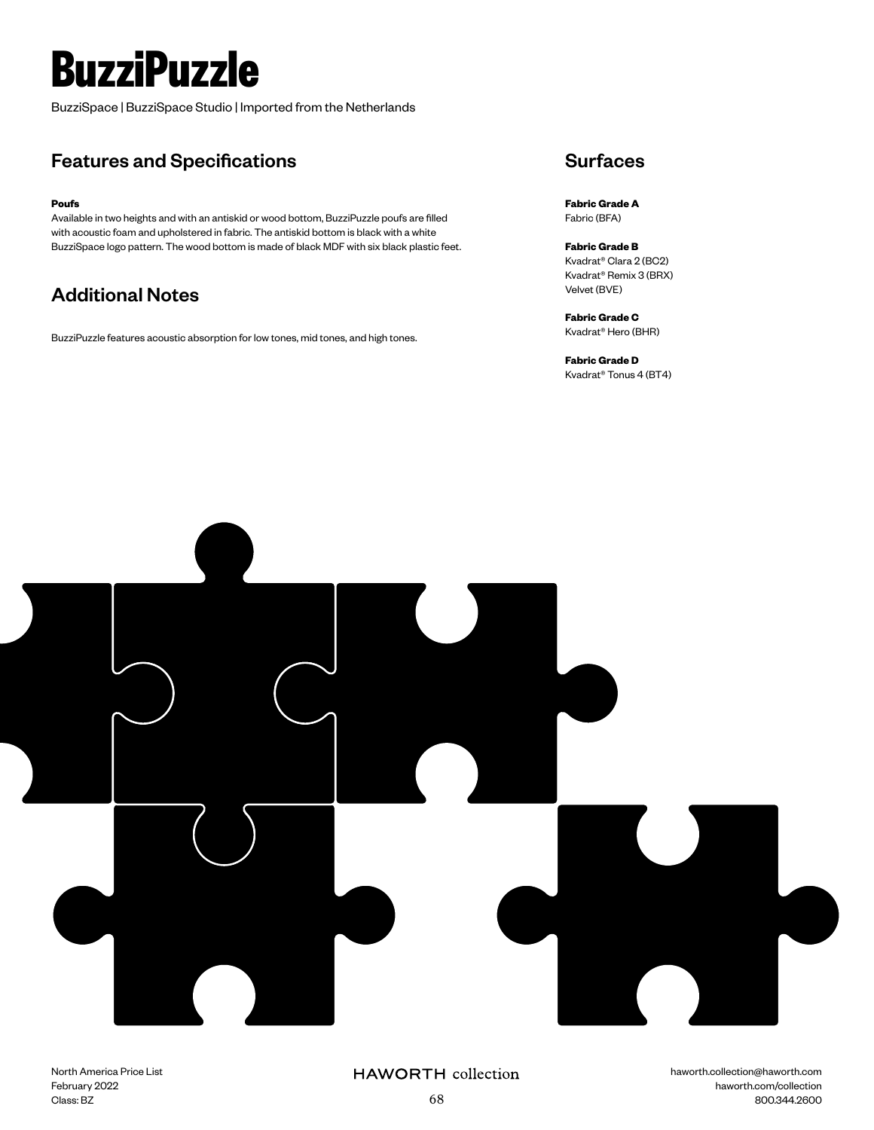# **BuzziPuzzle**

BuzziSpace | BuzziSpace Studio | Imported from the Netherlands

## Features and Specifications

#### **Poufs**

Available in two heights and with an antiskid or wood bottom, BuzziPuzzle poufs are filled with acoustic foam and upholstered in fabric. The antiskid bottom is black with a white BuzziSpace logo pattern. The wood bottom is made of black MDF with six black plastic feet.

## Additional Notes

BuzziPuzzle features acoustic absorption for low tones, mid tones, and high tones.

### **Surfaces**

**Fabric Grade A** Fabric (BFA)

**Fabric Grade B** Kvadrat® Clara 2 (BC2) Kvadrat® Remix 3 (BRX) Velvet (BVE)

**Fabric Grade C** Kvadrat® Hero (BHR)

**Fabric Grade D** Kvadrat® Tonus 4 (BT4)